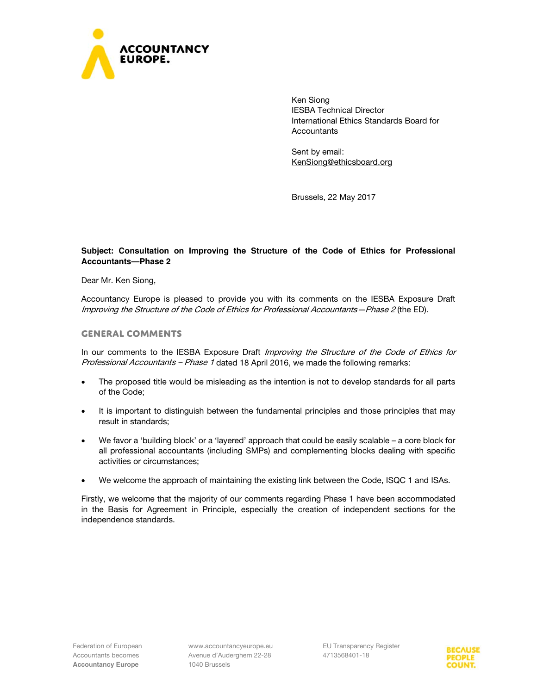

Ken Siong IESBA Technical Director International Ethics Standards Board for **Accountants** 

Sent by email: KenSiong@ethicsboard.org

Brussels, 22 May 2017

## **Subject: Consultation on Improving the Structure of the Code of Ethics for Professional Accountants—Phase 2**

Dear Mr. Ken Siong,

Accountancy Europe is pleased to provide you with its comments on the IESBA Exposure Draft Improving the Structure of the Code of Ethics for Professional Accountants—Phase 2 (the ED).

#### **General comments**

In our comments to the IESBA Exposure Draft Improving the Structure of the Code of Ethics for Professional Accountants – Phase 1 dated 18 April 2016, we made the following remarks:

- The proposed title would be misleading as the intention is not to develop standards for all parts of the Code;
- It is important to distinguish between the fundamental principles and those principles that may result in standards;
- We favor a 'building block' or a 'layered' approach that could be easily scalable a core block for all professional accountants (including SMPs) and complementing blocks dealing with specific activities or circumstances;
- We welcome the approach of maintaining the existing link between the Code, ISQC 1 and ISAs.

Firstly, we welcome that the majority of our comments regarding Phase 1 have been accommodated in the Basis for Agreement in Principle, especially the creation of independent sections for the independence standards.

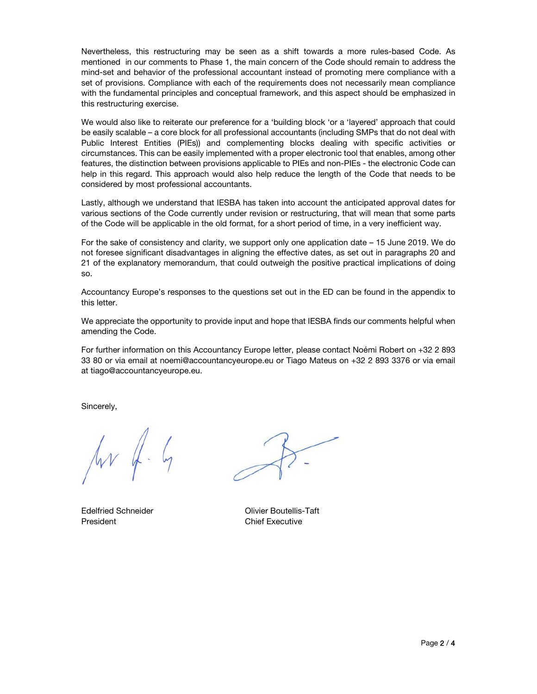Nevertheless, this restructuring may be seen as a shift towards a more rules-based Code. As mentioned in our comments to Phase 1, the main concern of the Code should remain to address the mind-set and behavior of the professional accountant instead of promoting mere compliance with a set of provisions. Compliance with each of the requirements does not necessarily mean compliance with the fundamental principles and conceptual framework, and this aspect should be emphasized in this restructuring exercise.

We would also like to reiterate our preference for a 'building block 'or a 'layered' approach that could be easily scalable – a core block for all professional accountants (including SMPs that do not deal with Public Interest Entities (PIEs)) and complementing blocks dealing with specific activities or circumstances. This can be easily implemented with a proper electronic tool that enables, among other features, the distinction between provisions applicable to PIEs and non-PIEs - the electronic Code can help in this regard. This approach would also help reduce the length of the Code that needs to be considered by most professional accountants.

Lastly, although we understand that IESBA has taken into account the anticipated approval dates for various sections of the Code currently under revision or restructuring, that will mean that some parts of the Code will be applicable in the old format, for a short period of time, in a very inefficient way.

For the sake of consistency and clarity, we support only one application date – 15 June 2019. We do not foresee significant disadvantages in aligning the effective dates, as set out in paragraphs 20 and 21 of the explanatory memorandum, that could outweigh the positive practical implications of doing so.

Accountancy Europe's responses to the questions set out in the ED can be found in the appendix to this letter.

We appreciate the opportunity to provide input and hope that IESBA finds our comments helpful when amending the Code.

For further information on this Accountancy Europe letter, please contact Noémi Robert on +32 2 893 33 80 or via email at noemi@accountancyeurope.eu or Tiago Mateus on +32 2 893 3376 or via email at tiago@accountancyeurope.eu.

Sincerely,

 $\sqrt{rr}$  4.  $4$ 

President **Chief Executive** 

Edelfried Schneider **Contract Contract Contract Contract Contract Contract Contract Contract Contract Contract Contract Contract Contract Contract Contract Contract Contract Contract Contract Contract Contract Contract Con**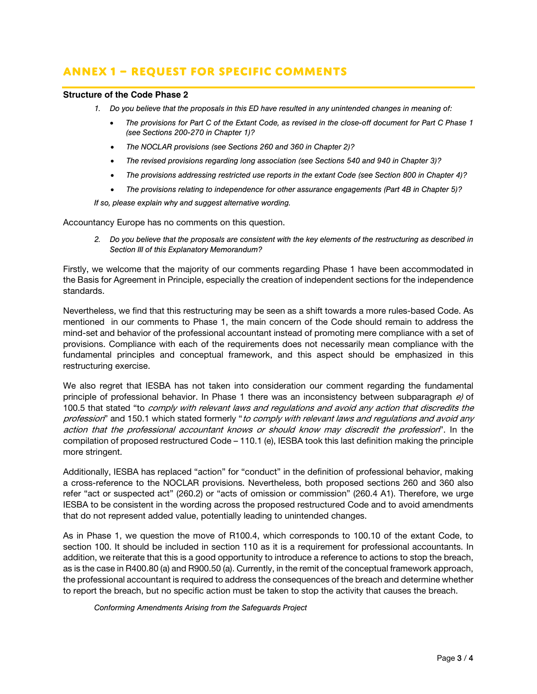# **Annex 1 – Request for Specific Comments**

#### **Structure of the Code Phase 2**

- *1. Do you believe that the proposals in this ED have resulted in any unintended changes in meaning of:* 
	- *The provisions for Part C of the Extant Code, as revised in the close-off document for Part C Phase 1 (see Sections 200-270 in Chapter 1)?*
	- *The NOCLAR provisions (see Sections 260 and 360 in Chapter 2)?*
	- *The revised provisions regarding long association (see Sections 540 and 940 in Chapter 3)?*
	- *The provisions addressing restricted use reports in the extant Code (see Section 800 in Chapter 4)?*
	- *The provisions relating to independence for other assurance engagements (Part 4B in Chapter 5)?*

*If so, please explain why and suggest alternative wording.* 

Accountancy Europe has no comments on this question.

*2. Do you believe that the proposals are consistent with the key elements of the restructuring as described in Section III of this Explanatory Memorandum?* 

Firstly, we welcome that the majority of our comments regarding Phase 1 have been accommodated in the Basis for Agreement in Principle, especially the creation of independent sections for the independence standards.

Nevertheless, we find that this restructuring may be seen as a shift towards a more rules-based Code. As mentioned in our comments to Phase 1, the main concern of the Code should remain to address the mind-set and behavior of the professional accountant instead of promoting mere compliance with a set of provisions. Compliance with each of the requirements does not necessarily mean compliance with the fundamental principles and conceptual framework, and this aspect should be emphasized in this restructuring exercise.

We also regret that IESBA has not taken into consideration our comment regarding the fundamental principle of professional behavior. In Phase 1 there was an inconsistency between subparagraph  $e$ ) of 100.5 that stated "to comply with relevant laws and regulations and avoid any action that discredits the profession" and 150.1 which stated formerly "to comply with relevant laws and regulations and avoid any action that the professional accountant knows or should know may discredit the profession". In the compilation of proposed restructured Code – 110.1 (e), IESBA took this last definition making the principle more stringent.

Additionally, IESBA has replaced "action" for "conduct" in the definition of professional behavior, making a cross-reference to the NOCLAR provisions. Nevertheless, both proposed sections 260 and 360 also refer "act or suspected act" (260.2) or "acts of omission or commission" (260.4 A1). Therefore, we urge IESBA to be consistent in the wording across the proposed restructured Code and to avoid amendments that do not represent added value, potentially leading to unintended changes.

As in Phase 1, we question the move of R100.4, which corresponds to 100.10 of the extant Code, to section 100. It should be included in section 110 as it is a requirement for professional accountants. In addition, we reiterate that this is a good opportunity to introduce a reference to actions to stop the breach, as is the case in R400.80 (a) and R900.50 (a). Currently, in the remit of the conceptual framework approach, the professional accountant is required to address the consequences of the breach and determine whether to report the breach, but no specific action must be taken to stop the activity that causes the breach.

*Conforming Amendments Arising from the Safeguards Project*